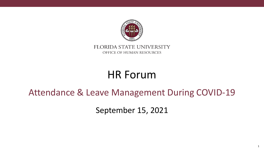

FLORIDA STATE UNIVERSITY OFFICE OF HUMAN RESOURCES

# HR Forum

#### Attendance & Leave Management During COVID-19

September 15, 2021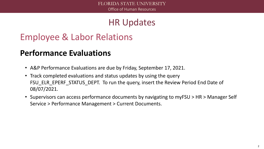# Employee & Labor Relations

#### **Performance Evaluations**

- A&P Performance Evaluations are due by Friday, September 17, 2021.
- Track completed evaluations and status updates by using the query FSU ELR EPERF STATUS DEPT. To run the query, insert the Review Period End Date of 08/07/2021.
- Supervisors can access performance documents by navigating to myFSU > HR > Manager Self Service > Performance Management > Current Documents.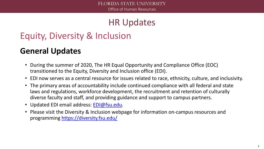# Equity, Diversity & Inclusion

#### **General Updates**

- During the summer of 2020, The HR Equal Opportunity and Compliance Office (EOC) transitioned to the Equity, Diversity and Inclusion office (EDI).
- EDI now serves as a central resource for issues related to race, ethnicity, culture, and inclusivity.
- The primary areas of accountability include continued compliance with all federal and state laws and regulations, workforce development, the recruitment and retention of culturally diverse faculty and staff, and providing guidance and support to campus partners.
- Updated EDI email address: [EDI@fsu.edu.](mailto:EDI@fsu.edu)
- Please visit the Diversity & Inclusion webpage for information on-campus resources and programming<https://diversity.fsu.edu/>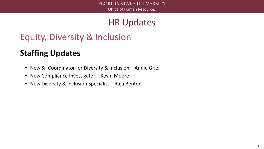# Equity, Diversity & Inclusion

### **Staffing Updates**

- New Sr. Coordinator for Diversity & Inclusion Annie Grier
- New Compliance Investigator Kevin Moore
- New Diversity & Inclusion Specialist Raja Benton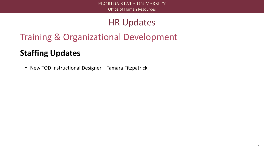# Training & Organizational Development

#### **Staffing Updates**

• New TOD Instructional Designer – Tamara Fitzpatrick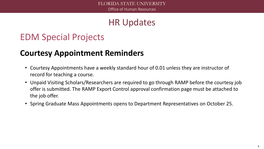# EDM Special Projects

#### **Courtesy Appointment Reminders**

- Courtesy Appointments have a weekly standard hour of 0.01 unless they are instructor of record for teaching a course.
- Unpaid Visiting Scholars/Researchers are required to go through RAMP before the courtesy job offer is submitted. The RAMP Export Control approval confirmation page must be attached to the job offer.
- Spring Graduate Mass Appointments opens to Department Representatives on October 25.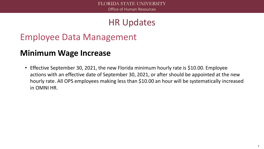# Employee Data Management

#### **Minimum Wage Increase**

• Effective September 30, 2021, the new Florida minimum hourly rate is \$10.00. Employee actions with an effective date of September 30, 2021, or after should be appointed at the new hourly rate. All OPS employees making less than \$10.00 an hour will be systematically increased in OMNI HR.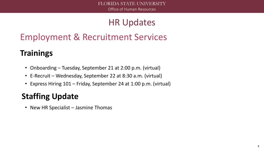# Employment & Recruitment Services

# **Trainings**

- Onboarding Tuesday, September 21 at 2:00 p.m. (virtual)
- E-Recruit Wednesday, September 22 at 8:30 a.m. (virtual)
- Express Hiring 101 Friday, September 24 at 1:00 p.m. (virtual)

# **Staffing Update**

• New HR Specialist – Jasmine Thomas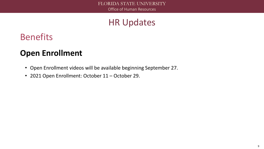# Benefits

#### **Open Enrollment**

- Open Enrollment videos will be available beginning September 27.
- 2021 Open Enrollment: October 11 October 29.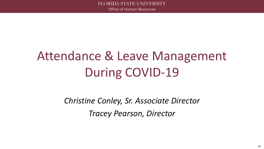# Attendance & Leave Management During COVID-19

*Christine Conley, Sr. Associate Director Tracey Pearson, Director*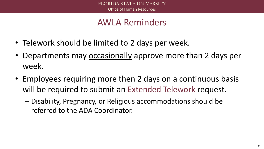#### AWLA Reminders

- Telework should be limited to 2 days per week.
- Departments may occasionally approve more than 2 days per week.
- Employees requiring more then 2 days on a continuous basis will be required to submit an Extended Telework request.
	- Disability, Pregnancy, or Religious accommodations should be referred to the ADA Coordinator.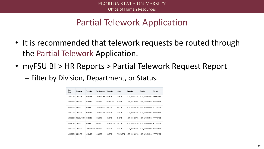# Partial Telework Application

- It is recommended that telework requests be routed through the Partial Telework Application.
- myFSU BI > HR Reports > Partial Telework Request Report
	- Filter by Division, Department, or Status.

| Start<br>Date | Monday          | Tuesday         | Wednesdav       | Thursday | Friday | Saturday             | Sunday      | <b>Status</b> |
|---------------|-----------------|-----------------|-----------------|----------|--------|----------------------|-------------|---------------|
| 8/16/2021     | ONSITE          | ONSITE          | TFI FWORK       | ONSITE   | ONSITE | NOT WORKING          | NOT_WORKING | APPROVED      |
| 8/19/2021     | ONSITE          | ONSITE          | ONSITE          | TELEWORK | ONSITE | NOT WORKING          | NOT WORKING | APPROVED      |
| 8/16/2021     | ONSITE          | ONSITE          | TELEWORK        | ONSITE   | ONSITE | NOT WORKING          | NOT WORKING | APPROVED      |
| 8/18/2021     | ONSITE          | ONSITE          | TELEWORK ONSITE |          | ONSITE | NOT WORKING          | NOT WORKING | APPROVED      |
| 8/10/2021     | <b>TELEWORK</b> | ONSITE          | ONSITE          | ONSITE   | ONSITE | NOT WORKING          | NOT WORKING | APPROVED      |
| 8/10/2021     | ONSITE          | ONSITE          | ONSITE          | TELEWORK | ONSITE | NOT WORKING          | NOT_WORKING | APPROVED      |
| 8/17/2021     | ONSITE          | <b>TELEWORK</b> | ONSITE          | ONSITE   | ONSITE | NOT WORKING          | NOT WORKING | APPROVED      |
| 8/16/2021     | ONSITE          | ONSITE          | ONSITE          | ONSITE   |        | TELEWORK NOT WORKING | NOT WORKING | APPROVED      |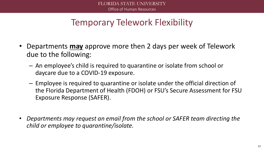# Temporary Telework Flexibility

- Departments **may** approve more then 2 days per week of Telework due to the following:
	- An employee's child is required to quarantine or isolate from school or daycare due to a COVID-19 exposure.
	- Employee is required to quarantine or isolate under the official direction of the Florida Department of Health (FDOH) or FSU's Secure Assessment for FSU Exposure Response (SAFER).
- *Departments may request an email from the school or SAFER team directing the child or employee to quarantine/isolate.*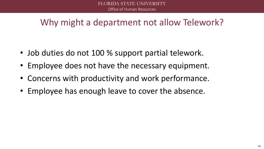# Why might a department not allow Telework?

- Job duties do not 100 % support partial telework.
- Employee does not have the necessary equipment.
- Concerns with productivity and work performance.
- Employee has enough leave to cover the absence.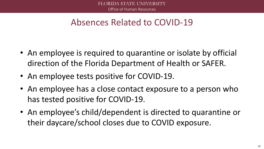### Absences Related to COVID-19

- An employee is required to quarantine or isolate by official direction of the Florida Department of Health or SAFER.
- An employee tests positive for COVID-19.
- An employee has a close contact exposure to a person who has tested positive for COVID-19.
- An employee's child/dependent is directed to quarantine or their daycare/school closes due to COVID exposure.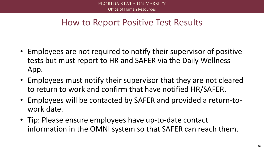#### How to Report Positive Test Results

- Employees are not required to notify their supervisor of positive tests but must report to HR and SAFER via the Daily Wellness App.
- Employees must notify their supervisor that they are not cleared to return to work and confirm that have notified HR/SAFER.
- Employees will be contacted by SAFER and provided a return-towork date.
- Tip: Please ensure employees have up-to-date contact information in the OMNI system so that SAFER can reach them.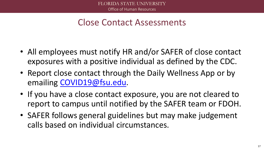#### Close Contact Assessments

- All employees must notify HR and/or SAFER of close contact exposures with a positive individual as defined by the CDC.
- Report close contact through the Daily Wellness App or by emailing [COVID19@fsu.edu](mailto:COVID19@fsu.edu).
- If you have a close contact exposure, you are not cleared to report to campus until notified by the SAFER team or FDOH.
- SAFER follows general guidelines but may make judgement calls based on individual circumstances.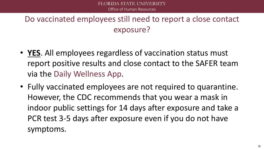#### Do vaccinated employees still need to report a close contact exposure?

- **YES**. All employees regardless of vaccination status must report positive results and close contact to the SAFER team via the Daily Wellness App.
- Fully vaccinated employees are not required to quarantine. However, the CDC recommends that you wear a mask in indoor public settings for 14 days after exposure and take a PCR test 3-5 days after exposure even if you do not have symptoms.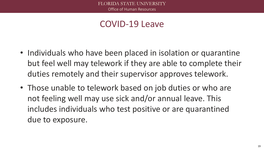#### COVID-19 Leave

- Individuals who have been placed in isolation or quarantine but feel well may telework if they are able to complete their duties remotely and their supervisor approves telework.
- Those unable to telework based on job duties or who are not feeling well may use sick and/or annual leave. This includes individuals who test positive or are quarantined due to exposure.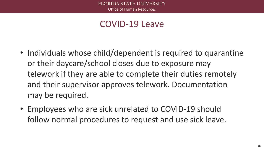#### COVID-19 Leave

- Individuals whose child/dependent is required to quarantine or their daycare/school closes due to exposure may telework if they are able to complete their duties remotely and their supervisor approves telework. Documentation may be required.
- Employees who are sick unrelated to COVID-19 should follow normal procedures to request and use sick leave.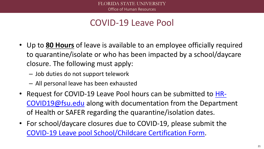# COVID-19 Leave Pool

- Up to **80 Hours** of leave is available to an employee officially required to quarantine/isolate or who has been impacted by a school/daycare closure. The following must apply:
	- Job duties do not support telework
	- All personal leave has been exhausted
- [Request for COVID-19 Leave Pool hours can be submitted to HR-](mailto:HR-COVID19@fsu.edu)COVID19@fsu.edu along with documentation from the Department of Health or SAFER regarding the quarantine/isolation dates.
- For school/daycare closures due to COVID-19, please submit the [COVID-19 Leave pool School/Childcare Certification Form.](https://coronavirus.hr.fsu.edu/sites/g/files/upcbnu2786/files/COVID-19%20Leave%20Pool%20School%20Certification%20Form.pdf)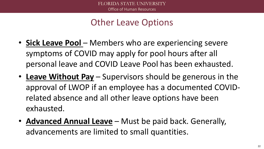# Other Leave Options

- **Sick Leave Pool** Members who are experiencing severe symptoms of COVID may apply for pool hours after all personal leave and COVID Leave Pool has been exhausted.
- **Leave Without Pay** Supervisors should be generous in the approval of LWOP if an employee has a documented COVIDrelated absence and all other leave options have been exhausted.
- **Advanced Annual Leave** Must be paid back. Generally, advancements are limited to small quantities.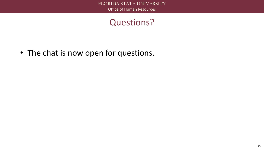### Questions?

• The chat is now open for questions.